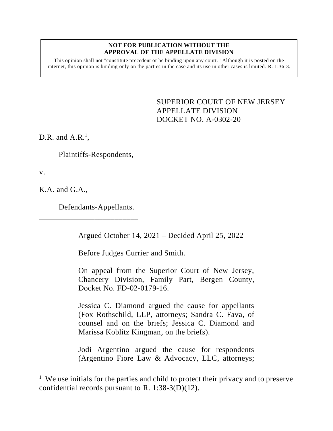## **NOT FOR PUBLICATION WITHOUT THE APPROVAL OF THE APPELLATE DIVISION**

This opinion shall not "constitute precedent or be binding upon any court." Although it is posted on the internet, this opinion is binding only on the parties in the case and its use in other cases is limited.  $R_1$  1:36-3.

> <span id="page-0-0"></span>SUPERIOR COURT OF NEW JERSEY APPELLATE DIVISION DOCKET NO. A-0302-20

D.R. and  $A.R.^1$ ,

Plaintiffs-Respondents,

v.

K.A. and G.A.,

Defendants-Appellants.

\_\_\_\_\_\_\_\_\_\_\_\_\_\_\_\_\_\_\_\_\_\_\_\_\_

Argued October 14, 2021 – Decided April 25, 2022

Before Judges Currier and Smith.

On appeal from the Superior Court of New Jersey, Chancery Division, Family Part, Bergen County, Docket No. FD-02-0179-16.

Jessica C. Diamond argued the cause for appellants (Fox Rothschild, LLP, attorneys; Sandra C. Fava, of counsel and on the briefs; Jessica C. Diamond and Marissa Koblitz Kingman, on the briefs).

Jodi Argentino argued the cause for respondents (Argentino Fiore Law & Advocacy, LLC, attorneys;

<sup>&</sup>lt;sup>1</sup> We use initials for the parties and child to protect their privacy and to preserve confidential records pursuant to R. 1:38-3(D)(12).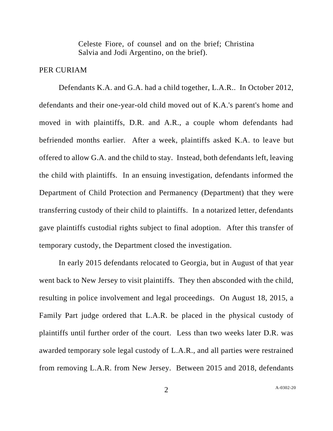Celeste Fiore, of counsel and on the brief; Christina Salvia and Jodi Argentino, on the brief).

## PER CURIAM

Defendants K.A. and G.A. had a child together, L.A.R.. In October 2012, defendants and their one-year-old child moved out of K.A.'s parent's home and moved in with plaintiffs, D.R. and A.R., a couple whom defendants had befriended months earlier. After a week, plaintiffs asked K.A. to leave but offered to allow G.A. and the child to stay. Instead, both defendants left, leaving the child with plaintiffs. In an ensuing investigation, defendants informed the Department of Child Protection and Permanency (Department) that they were transferring custody of their child to plaintiffs. In a notarized letter, defendants gave plaintiffs custodial rights subject to final adoption. After this transfer of temporary custody, the Department closed the investigation.

In early 2015 defendants relocated to Georgia, but in August of that year went back to New Jersey to visit plaintiffs. They then absconded with the child, resulting in police involvement and legal proceedings. On August 18, 2015, a Family Part judge ordered that L.A.R. be placed in the physical custody of plaintiffs until further order of the court. Less than two weeks later D.R. was awarded temporary sole legal custody of L.A.R., and all parties were restrained from removing L.A.R. from New Jersey. Between 2015 and 2018, defendants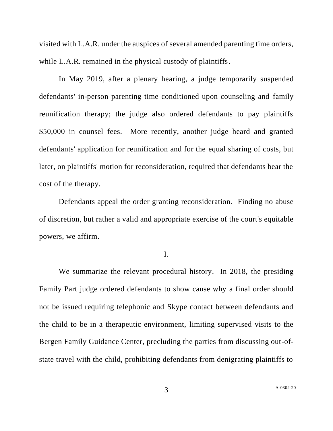visited with L.A.R. under the auspices of several amended parenting time orders, while L.A.R. remained in the physical custody of plaintiffs.

In May 2019, after a plenary hearing, a judge temporarily suspended defendants' in-person parenting time conditioned upon counseling and family reunification therapy; the judge also ordered defendants to pay plaintiffs \$50,000 in counsel fees. More recently, another judge heard and granted defendants' application for reunification and for the equal sharing of costs, but later, on plaintiffs' motion for reconsideration, required that defendants bear the cost of the therapy.

Defendants appeal the order granting reconsideration. Finding no abuse of discretion, but rather a valid and appropriate exercise of the court's equitable powers, we affirm.

I.

We summarize the relevant procedural history. In 2018, the presiding Family Part judge ordered defendants to show cause why a final order should not be issued requiring telephonic and Skype contact between defendants and the child to be in a therapeutic environment, limiting supervised visits to the Bergen Family Guidance Center, precluding the parties from discussing out-ofstate travel with the child, prohibiting defendants from denigrating plaintiffs to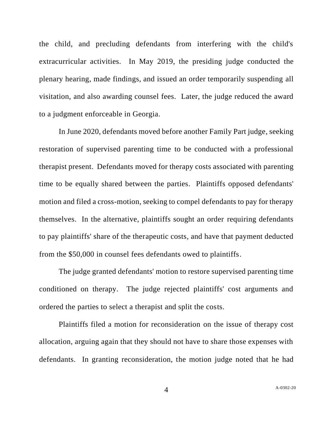the child, and precluding defendants from interfering with the child's extracurricular activities. In May 2019, the presiding judge conducted the plenary hearing, made findings, and issued an order temporarily suspending all visitation, and also awarding counsel fees. Later, the judge reduced the award to a judgment enforceable in Georgia.

In June 2020, defendants moved before another Family Part judge, seeking restoration of supervised parenting time to be conducted with a professional therapist present. Defendants moved for therapy costs associated with parenting time to be equally shared between the parties. Plaintiffs opposed defendants' motion and filed a cross-motion, seeking to compel defendants to pay for therapy themselves. In the alternative, plaintiffs sought an order requiring defendants to pay plaintiffs' share of the therapeutic costs, and have that payment deducted from the \$50,000 in counsel fees defendants owed to plaintiffs.

The judge granted defendants' motion to restore supervised parenting time conditioned on therapy. The judge rejected plaintiffs' cost arguments and ordered the parties to select a therapist and split the costs.

Plaintiffs filed a motion for reconsideration on the issue of therapy cost allocation, arguing again that they should not have to share those expenses with defendants. In granting reconsideration, the motion judge noted that he had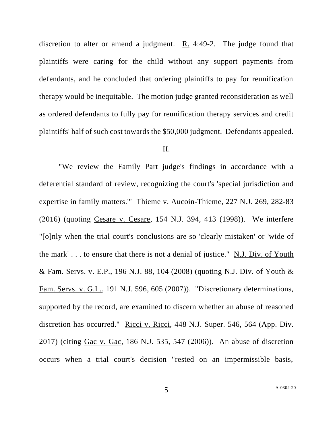discretion to alter or amend a judgment.  $R_1$ . 4:49-2. The judge found that plaintiffs were caring for the child without any support payments from defendants, and he concluded that ordering plaintiffs to pay for reunification therapy would be inequitable. The motion judge granted reconsideration as well as ordered defendants to fully pay for reunification therapy services and credit plaintiffs' half of such cost towards the \$50,000 judgment. Defendants appealed.

## II.

"We review the Family Part judge's findings in accordance with a deferential standard of review, recognizing the court's 'special jurisdiction and expertise in family matters.'" Thieme v. Aucoin-Thieme, 227 N.J. 269, 282-83 (2016) (quoting Cesare v. Cesare, 154 N.J. 394, 413 (1998)). We interfere "[o]nly when the trial court's conclusions are so 'clearly mistaken' or 'wide of the mark' . . . to ensure that there is not a denial of justice." N.J. Div. of Youth & Fam. Servs. v. E.P., 196 N.J. 88, 104 (2008) (quoting N.J. Div. of Youth & Fam. Servs. v. G.L., 191 N.J. 596, 605 (2007)). "Discretionary determinations, supported by the record, are examined to discern whether an abuse of reasoned discretion has occurred." Ricci v. Ricci, 448 N.J. Super. 546, 564 (App. Div. 2017) (citing Gac v. Gac, 186 N.J. 535, 547 (2006)). An abuse of discretion occurs when a trial court's decision "rested on an impermissible basis,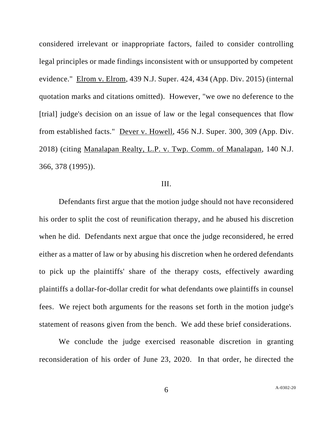considered irrelevant or inappropriate factors, failed to consider controlling legal principles or made findings inconsistent with or unsupported by competent evidence." Elrom v. Elrom, 439 N.J. Super. 424, 434 (App. Div. 2015) (internal quotation marks and citations omitted). However, "we owe no deference to the [trial] judge's decision on an issue of law or the legal consequences that flow from established facts." Dever v. Howell, 456 N.J. Super. 300, 309 (App. Div. 2018) (citing Manalapan Realty, L.P. v. Twp. Comm. of Manalapan, 140 N.J. 366, 378 (1995)).

## III.

Defendants first argue that the motion judge should not have reconsidered his order to split the cost of reunification therapy, and he abused his discretion when he did. Defendants next argue that once the judge reconsidered, he erred either as a matter of law or by abusing his discretion when he ordered defendants to pick up the plaintiffs' share of the therapy costs, effectively awarding plaintiffs a dollar-for-dollar credit for what defendants owe plaintiffs in counsel fees. We reject both arguments for the reasons set forth in the motion judge's statement of reasons given from the bench. We add these brief considerations.

We conclude the judge exercised reasonable discretion in granting reconsideration of his order of June 23, 2020. In that order, he directed the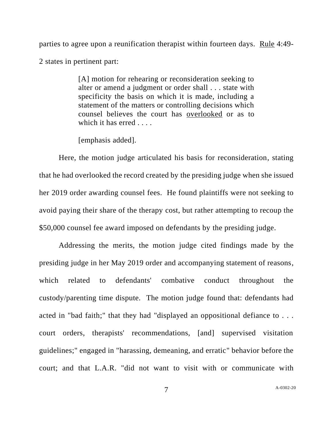parties to agree upon a reunification therapist within fourteen days. Rule 4:49- 2 states in pertinent part:

> [A] motion for rehearing or reconsideration seeking to alter or amend a judgment or order shall . . . state with specificity the basis on which it is made, including a statement of the matters or controlling decisions which counsel believes the court has overlooked or as to which it has erred . . . .

[emphasis added].

Here, the motion judge articulated his basis for reconsideration, stating that he had overlooked the record created by the presiding judge when she issued her 2019 order awarding counsel fees. He found plaintiffs were not seeking to avoid paying their share of the therapy cost, but rather attempting to recoup the \$50,000 counsel fee award imposed on defendants by the presiding judge.

Addressing the merits, the motion judge cited findings made by the presiding judge in her May 2019 order and accompanying statement of reasons, which related to defendants' combative conduct throughout the custody/parenting time dispute. The motion judge found that: defendants had acted in "bad faith;" that they had "displayed an oppositional defiance to . . . court orders, therapists' recommendations, [and] supervised visitation guidelines;" engaged in "harassing, demeaning, and erratic" behavior before the court; and that L.A.R. "did not want to visit with or communicate with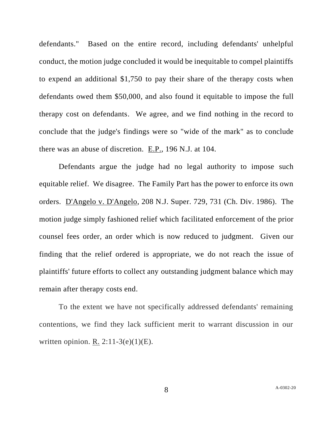defendants." Based on the entire record, including defendants' unhelpful conduct, the motion judge concluded it would be inequitable to compel plaintiffs to expend an additional \$1,750 to pay their share of the therapy costs when defendants owed them \$50,000, and also found it equitable to impose the full therapy cost on defendants. We agree, and we find nothing in the record to conclude that the judge's findings were so "wide of the mark" as to conclude there was an abuse of discretion. E.P., 196 N.J. at 104.

Defendants argue the judge had no legal authority to impose such equitable relief. We disagree. The Family Part has the power to enforce its own orders. D'Angelo v. D'Angelo, 208 N.J. Super. 729, 731 (Ch. Div. 1986). The motion judge simply fashioned relief which facilitated enforcement of the prior counsel fees order, an order which is now reduced to judgment. Given our finding that the relief ordered is appropriate, we do not reach the issue of plaintiffs' future efforts to collect any outstanding judgment balance which may remain after therapy costs end.

To the extent we have not specifically addressed defendants' remaining contentions, we find they lack sufficient merit to warrant discussion in our written opinion. R.  $2:11-3(e)(1)(E)$ .

8